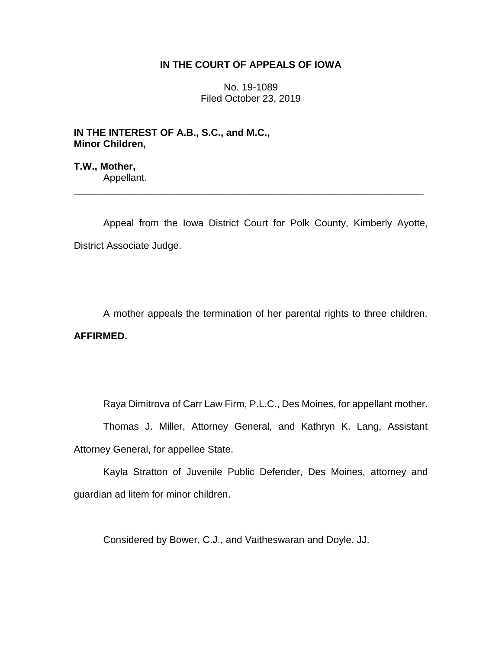## **IN THE COURT OF APPEALS OF IOWA**

No. 19-1089 Filed October 23, 2019

**IN THE INTEREST OF A.B., S.C., and M.C., Minor Children,**

**T.W., Mother,** Appellant.

Appeal from the Iowa District Court for Polk County, Kimberly Ayotte, District Associate Judge.

\_\_\_\_\_\_\_\_\_\_\_\_\_\_\_\_\_\_\_\_\_\_\_\_\_\_\_\_\_\_\_\_\_\_\_\_\_\_\_\_\_\_\_\_\_\_\_\_\_\_\_\_\_\_\_\_\_\_\_\_\_\_\_\_

A mother appeals the termination of her parental rights to three children. **AFFIRMED.**

Raya Dimitrova of Carr Law Firm, P.L.C., Des Moines, for appellant mother.

Thomas J. Miller, Attorney General, and Kathryn K. Lang, Assistant Attorney General, for appellee State.

Kayla Stratton of Juvenile Public Defender, Des Moines, attorney and guardian ad litem for minor children.

Considered by Bower, C.J., and Vaitheswaran and Doyle, JJ.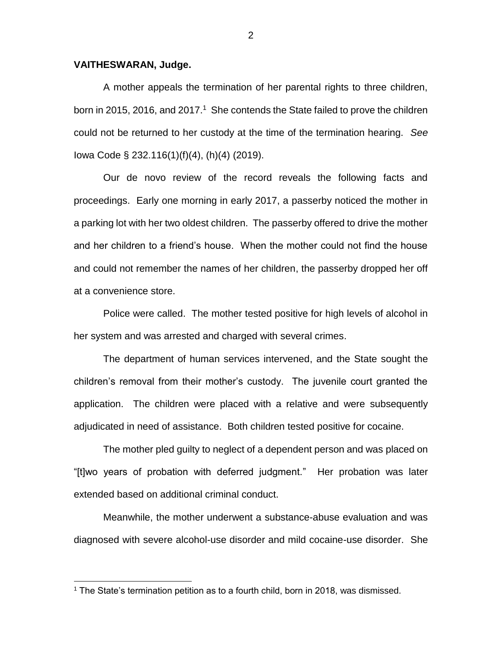## **VAITHESWARAN, Judge.**

 $\overline{a}$ 

A mother appeals the termination of her parental rights to three children, born in 2015, 2016, and 2017.<sup>1</sup> She contends the State failed to prove the children could not be returned to her custody at the time of the termination hearing. *See*  Iowa Code § 232.116(1)(f)(4), (h)(4) (2019).

Our de novo review of the record reveals the following facts and proceedings. Early one morning in early 2017, a passerby noticed the mother in a parking lot with her two oldest children. The passerby offered to drive the mother and her children to a friend's house. When the mother could not find the house and could not remember the names of her children, the passerby dropped her off at a convenience store.

Police were called. The mother tested positive for high levels of alcohol in her system and was arrested and charged with several crimes.

The department of human services intervened, and the State sought the children's removal from their mother's custody. The juvenile court granted the application. The children were placed with a relative and were subsequently adjudicated in need of assistance. Both children tested positive for cocaine.

The mother pled guilty to neglect of a dependent person and was placed on "[t]wo years of probation with deferred judgment." Her probation was later extended based on additional criminal conduct.

Meanwhile, the mother underwent a substance-abuse evaluation and was diagnosed with severe alcohol-use disorder and mild cocaine-use disorder. She

 $1$  The State's termination petition as to a fourth child, born in 2018, was dismissed.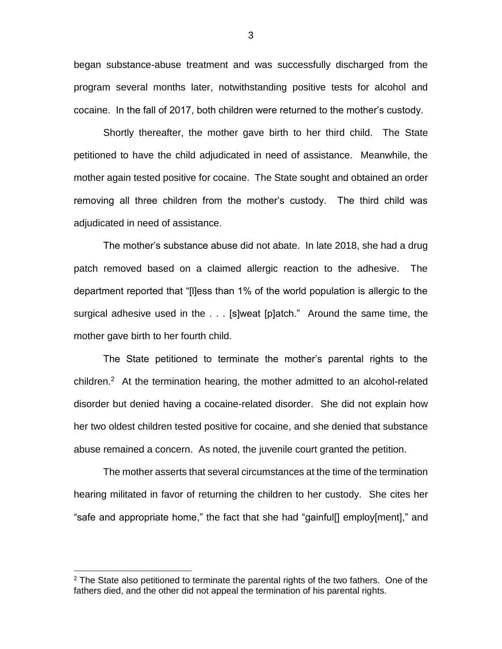began substance-abuse treatment and was successfully discharged from the program several months later, notwithstanding positive tests for alcohol and cocaine. In the fall of 2017, both children were returned to the mother's custody.

Shortly thereafter, the mother gave birth to her third child. The State petitioned to have the child adjudicated in need of assistance. Meanwhile, the mother again tested positive for cocaine. The State sought and obtained an order removing all three children from the mother's custody. The third child was adjudicated in need of assistance.

The mother's substance abuse did not abate. In late 2018, she had a drug patch removed based on a claimed allergic reaction to the adhesive. The department reported that "[l]ess than 1% of the world population is allergic to the surgical adhesive used in the . . . [s]weat [p]atch." Around the same time, the mother gave birth to her fourth child.

The State petitioned to terminate the mother's parental rights to the children.<sup>2</sup> At the termination hearing, the mother admitted to an alcohol-related disorder but denied having a cocaine-related disorder. She did not explain how her two oldest children tested positive for cocaine, and she denied that substance abuse remained a concern. As noted, the juvenile court granted the petition.

The mother asserts that several circumstances at the time of the termination hearing militated in favor of returning the children to her custody. She cites her "safe and appropriate home," the fact that she had "gainful[] employ[ment]," and

 $\overline{a}$ 

 $2$  The State also petitioned to terminate the parental rights of the two fathers. One of the fathers died, and the other did not appeal the termination of his parental rights.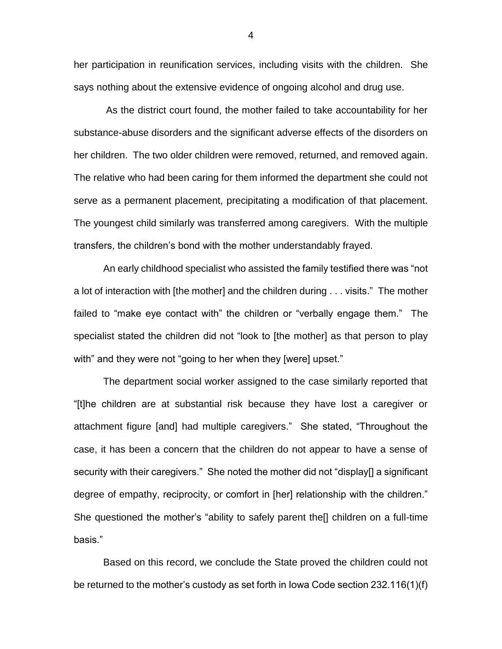her participation in reunification services, including visits with the children. She says nothing about the extensive evidence of ongoing alcohol and drug use.

As the district court found, the mother failed to take accountability for her substance-abuse disorders and the significant adverse effects of the disorders on her children. The two older children were removed, returned, and removed again. The relative who had been caring for them informed the department she could not serve as a permanent placement, precipitating a modification of that placement. The youngest child similarly was transferred among caregivers. With the multiple transfers, the children's bond with the mother understandably frayed.

An early childhood specialist who assisted the family testified there was "not a lot of interaction with [the mother] and the children during . . . visits." The mother failed to "make eye contact with" the children or "verbally engage them." The specialist stated the children did not "look to [the mother] as that person to play with" and they were not "going to her when they [were] upset."

The department social worker assigned to the case similarly reported that "[t]he children are at substantial risk because they have lost a caregiver or attachment figure [and] had multiple caregivers." She stated, "Throughout the case, it has been a concern that the children do not appear to have a sense of security with their caregivers." She noted the mother did not "display[] a significant degree of empathy, reciprocity, or comfort in [her] relationship with the children." She questioned the mother's "ability to safely parent the[] children on a full-time basis."

Based on this record, we conclude the State proved the children could not be returned to the mother's custody as set forth in Iowa Code section 232.116(1)(f)

4